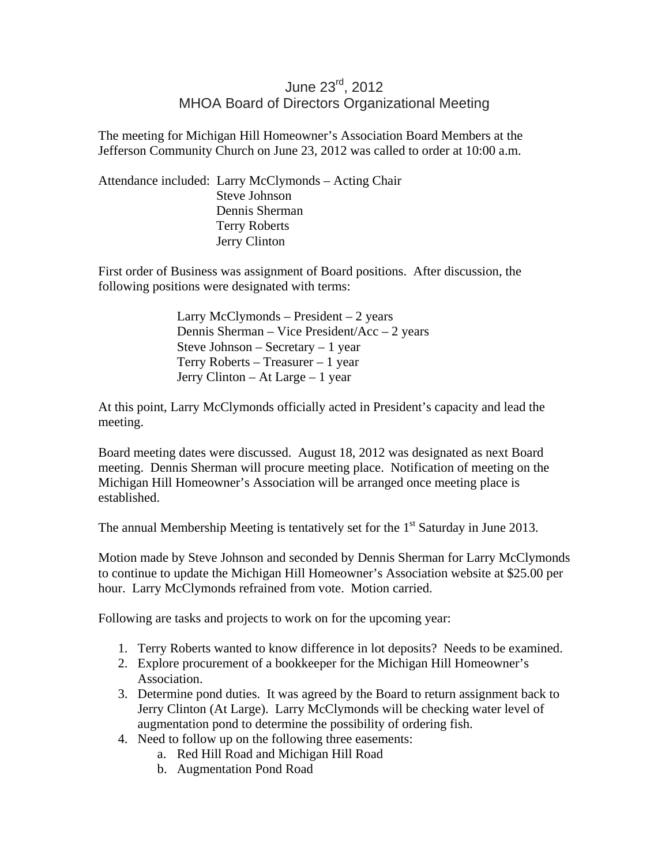## June 23rd, 2012 MHOA Board of Directors Organizational Meeting

The meeting for Michigan Hill Homeowner's Association Board Members at the Jefferson Community Church on June 23, 2012 was called to order at 10:00 a.m.

Attendance included: Larry McClymonds – Acting Chair Steve Johnson Dennis Sherman Terry Roberts Jerry Clinton

First order of Business was assignment of Board positions. After discussion, the following positions were designated with terms:

> Larry McClymonds – President – 2 years Dennis Sherman – Vice President/Acc – 2 years Steve Johnson – Secretary – 1 year Terry Roberts – Treasurer – 1 year Jerry Clinton – At Large – 1 year

At this point, Larry McClymonds officially acted in President's capacity and lead the meeting.

Board meeting dates were discussed. August 18, 2012 was designated as next Board meeting. Dennis Sherman will procure meeting place. Notification of meeting on the Michigan Hill Homeowner's Association will be arranged once meeting place is established.

The annual Membership Meeting is tentatively set for the  $1<sup>st</sup>$  Saturday in June 2013.

Motion made by Steve Johnson and seconded by Dennis Sherman for Larry McClymonds to continue to update the Michigan Hill Homeowner's Association website at \$25.00 per hour. Larry McClymonds refrained from vote. Motion carried.

Following are tasks and projects to work on for the upcoming year:

- 1. Terry Roberts wanted to know difference in lot deposits? Needs to be examined.
- 2. Explore procurement of a bookkeeper for the Michigan Hill Homeowner's Association.
- 3. Determine pond duties. It was agreed by the Board to return assignment back to Jerry Clinton (At Large). Larry McClymonds will be checking water level of augmentation pond to determine the possibility of ordering fish.
- 4. Need to follow up on the following three easements:
	- a. Red Hill Road and Michigan Hill Road
	- b. Augmentation Pond Road